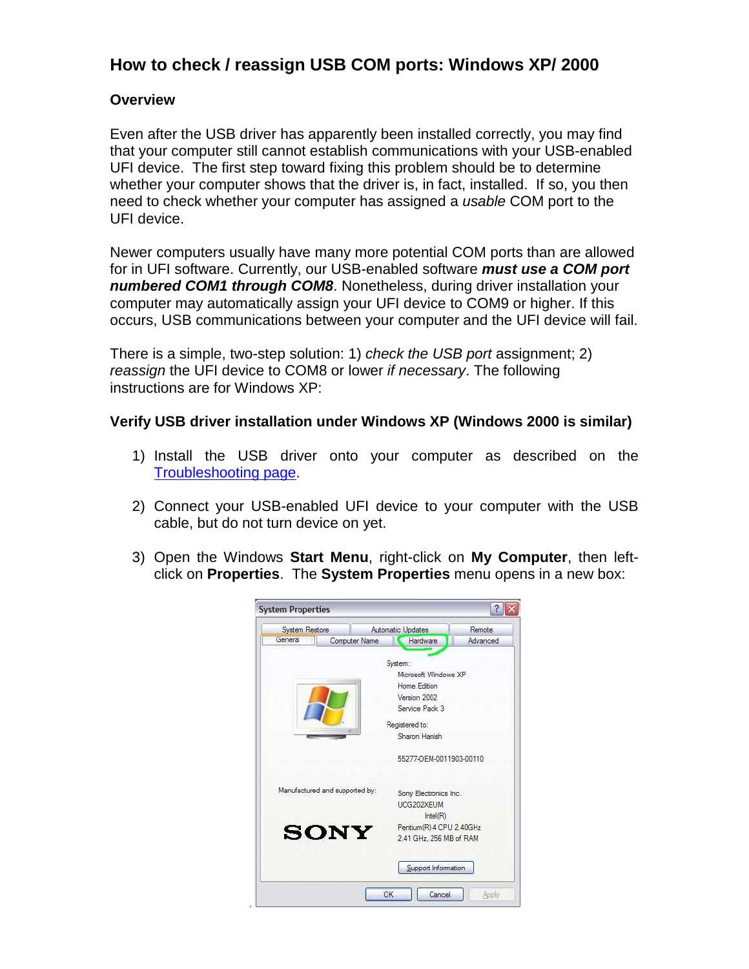## **How to check / reassign USB COM ports: Windows XP/ 2000**

## **Overview**

Even after the USB driver has apparently been installed correctly, you may find that your computer still cannot establish communications with your USB-enabled UFI device. The first step toward fixing this problem should be to determine whether your computer shows that the driver is, in fact, installed. If so, you then need to check whether your computer has assigned a usable COM port to the UFI device.

Newer computers usually have many more potential COM ports than are allowed for in UFI software. Currently, our USB-enabled software **must use a COM port numbered COM1 through COM8**. Nonetheless, during driver installation your computer may automatically assign your UFI device to COM9 or higher. If this occurs, USB communications between your computer and the UFI device will fail.

There is a simple, two-step solution: 1) check the USB port assignment; 2) reassign the UFI device to COM8 or lower if necessary. The following instructions are for Windows XP:

## **Verify USB driver installation under Windows XP (Windows 2000 is similar)**

- 1) Install the USB driver onto your computer as described on the Troubleshooting page.
- 2) Connect your USB-enabled UFI device to your computer with the USB cable, but do not turn device on yet.
- 3) Open the Windows **Start Menu**, right-click on **My Computer**, then leftclick on **Properties**. The **System Properties** menu opens in a new box:

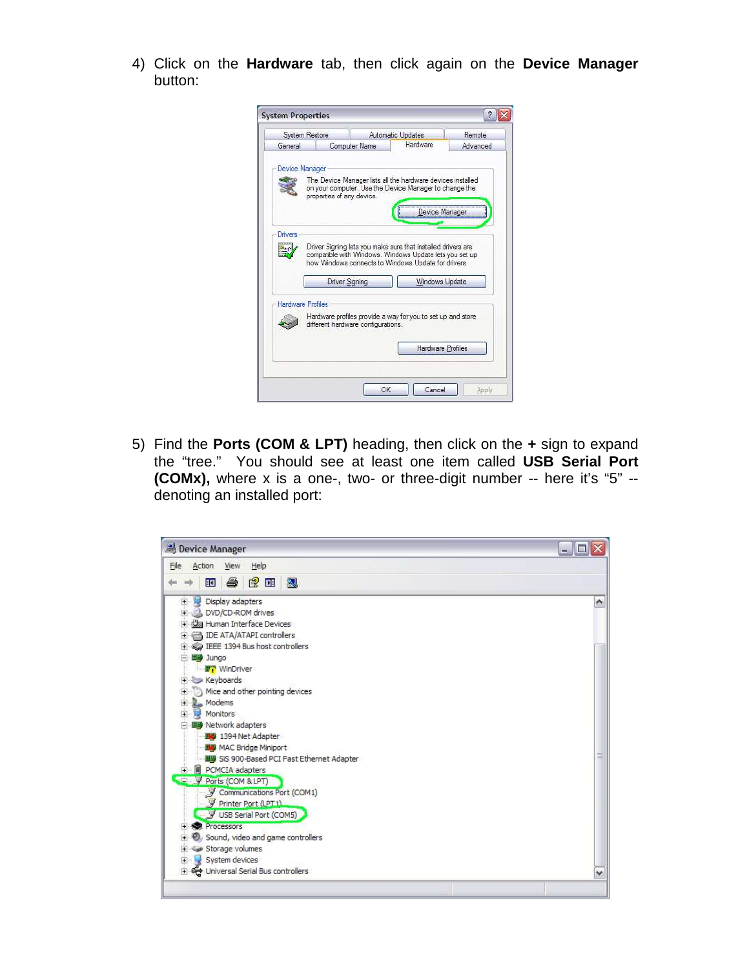4) Click on the **Hardware** tab, then click again on the **Device Manager** button:

| <b>System Restore</b> |                           |                                    | Automatic Updates                                                                                                                                                              |                       |
|-----------------------|---------------------------|------------------------------------|--------------------------------------------------------------------------------------------------------------------------------------------------------------------------------|-----------------------|
| General               |                           | Computer Name                      | Hardware                                                                                                                                                                       | Advanced              |
| Device Manager        |                           |                                    |                                                                                                                                                                                |                       |
|                       |                           |                                    | The Device Manager lists all the hardware devices installed<br>on your computer. Use the Device Manager to change the                                                          |                       |
|                       | properties of any device. |                                    |                                                                                                                                                                                |                       |
|                       |                           |                                    |                                                                                                                                                                                | Device Manager        |
|                       |                           |                                    |                                                                                                                                                                                |                       |
|                       |                           |                                    |                                                                                                                                                                                |                       |
| Drivers               |                           |                                    |                                                                                                                                                                                |                       |
|                       |                           |                                    | Driver Signing lets you make sure that installed drivers are<br>compatible with Windows. Windows Update lets you set up<br>how Windows connects to Windows Update for drivers. |                       |
|                       |                           | <b>Driver Signing</b>              |                                                                                                                                                                                | <b>Windows Update</b> |
|                       |                           |                                    |                                                                                                                                                                                |                       |
| Hardware Profiles     |                           |                                    |                                                                                                                                                                                |                       |
|                       |                           | different hardware configurations. | Hardware profiles provide a way for you to set up and store                                                                                                                    |                       |
|                       |                           |                                    |                                                                                                                                                                                | Hardware Profiles     |

5) Find the **Ports (COM & LPT)** heading, then click on the **+** sign to expand the "tree." You should see at least one item called **USB Serial Port (COMx),** where x is a one-, two- or three-digit number -- here it's "5" - denoting an installed port:

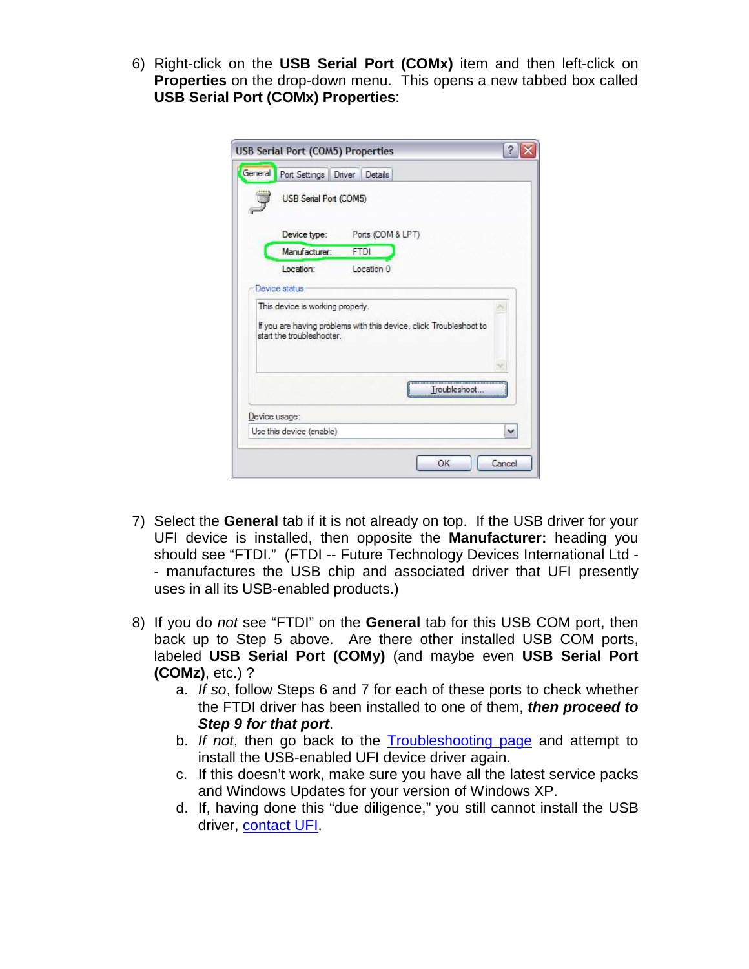6) Right-click on the **USB Serial Port (COMx)** item and then left-click on **Properties** on the drop-down menu. This opens a new tabbed box called **USB Serial Port (COMx) Properties**:

|         | <b>USB Serial Port (COM5) Properties</b>          |                                                                    |  |
|---------|---------------------------------------------------|--------------------------------------------------------------------|--|
| General | Port Settings Driver Details                      |                                                                    |  |
|         | USB Serial Port (COM5)                            |                                                                    |  |
|         | Device type:                                      | Ports (COM & LPT)                                                  |  |
|         | Manufacturer:                                     | <b>FTDI</b>                                                        |  |
|         | Location:                                         | Location 0                                                         |  |
|         | Device status<br>This device is working properly. |                                                                    |  |
|         | start the troubleshooter.                         | If you are having problems with this device, click Troubleshoot to |  |
|         |                                                   |                                                                    |  |
|         |                                                   |                                                                    |  |
|         |                                                   | Troubleshoot                                                       |  |
|         | Device usage:                                     |                                                                    |  |

- 7) Select the **General** tab if it is not already on top. If the USB driver for your UFI device is installed, then opposite the **Manufacturer:** heading you should see "FTDI." (FTDI -- Future Technology Devices International Ltd - - manufactures the USB chip and associated driver that UFI presently uses in all its USB-enabled products.)
- 8) If you do not see "FTDI" on the **General** tab for this USB COM port, then back up to Step 5 above. Are there other installed USB COM ports, labeled **USB Serial Port (COMy)** (and maybe even **USB Serial Port (COMz)**, etc.) ?
	- a. If so, follow Steps 6 and 7 for each of these ports to check whether the FTDI driver has been installed to one of them, **then proceed to Step 9 for that port**.
	- b. If not, then go back to the Troubleshooting page and attempt to install the USB-enabled UFI device driver again.
	- c. If this doesn't work, make sure you have all the latest service packs and Windows Updates for your version of Windows XP.
	- d. If, having done this "due diligence," you still cannot install the USB driver, contact UFI.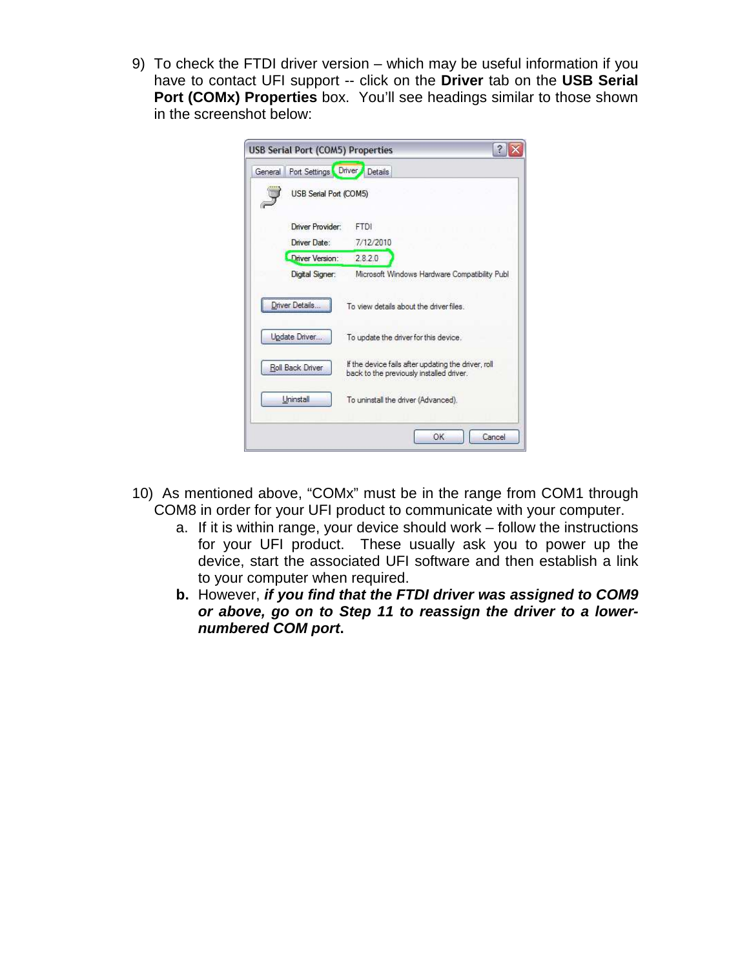9) To check the FTDI driver version – which may be useful information if you have to contact UFI support -- click on the **Driver** tab on the **USB Serial Port (COMx) Properties** box. You'll see headings similar to those shown in the screenshot below:

| General | Port Settings Driver Details |                                                                                                 |  |
|---------|------------------------------|-------------------------------------------------------------------------------------------------|--|
|         | USB Serial Port (COM5)       |                                                                                                 |  |
|         | Driver Provider:             | <b>FTDI</b>                                                                                     |  |
|         | Driver Date:                 | 7/12/2010                                                                                       |  |
|         | Driver Version:              | 2.8:2.0                                                                                         |  |
|         | Digital Signer:              | Microsoft Windows Hardware Compatibility Publ                                                   |  |
|         | Driver Details               | To view details about the driver files                                                          |  |
|         |                              |                                                                                                 |  |
|         | Update Driver                | To update the driver for this device.                                                           |  |
|         | Roll Back Driver             | If the device fails after updating the driver, roll<br>back to the previously installed driver. |  |
|         | Uninstall                    | To uninstall the driver (Advanced).                                                             |  |

- 10) As mentioned above, "COMx" must be in the range from COM1 through COM8 in order for your UFI product to communicate with your computer.
	- a. If it is within range, your device should work follow the instructions for your UFI product. These usually ask you to power up the device, start the associated UFI software and then establish a link to your computer when required.
	- **b.** However, **if you find that the FTDI driver was assigned to COM9 or above, go on to Step 11 to reassign the driver to a lowernumbered COM port.**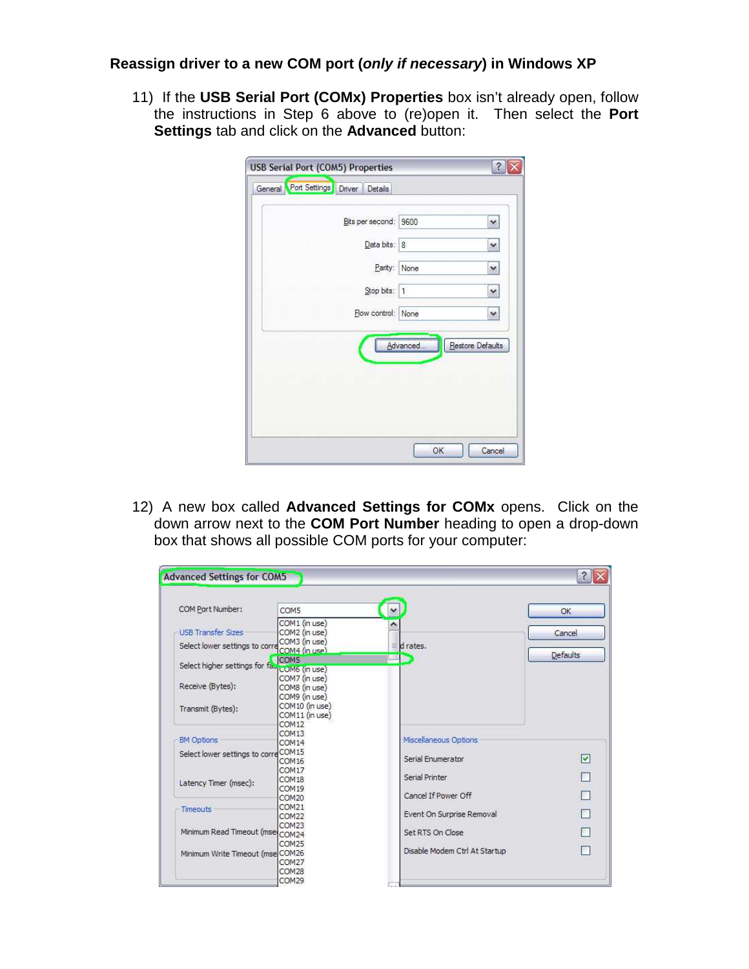## **Reassign driver to a new COM port (only if necessary) in Windows XP**

11) If the **USB Serial Port (COMx) Properties** box isn't already open, follow the instructions in Step 6 above to (re)open it. Then select the **Port Settings** tab and click on the **Advanced** button:

| Bits per second: 9600 |          | ×                |
|-----------------------|----------|------------------|
| Data bits: 8          |          | ×                |
| Parity: None          |          | v                |
| Stop bits: 1          |          | $\checkmark$     |
| Flow control:         | None     | ×                |
|                       | Advanced | Restore Defaults |

12) A new box called **Advanced Settings for COMx** opens. Click on the down arrow next to the **COM Port Number** heading to open a drop-down box that shows all possible COM ports for your computer:

| <b>Advanced Settings for COM5</b>            |                                                 |                               | $\hat{?}$               |
|----------------------------------------------|-------------------------------------------------|-------------------------------|-------------------------|
| COM Port Number:                             | COM5                                            | $\checkmark$                  | OK                      |
| <b>USB Transfer Sizes</b>                    | COM1 (in use)<br>COM2 (in use)                  |                               | Cancel                  |
| Select lower settings to corre COM4 (in use) | COM3 (in use)                                   | d rates.<br>≣                 | Defaults                |
| Select higher settings for fa-LOM6 (in use)  | COM5                                            |                               |                         |
| Receive (Bytes):                             | COM7 (in use)<br>COM8 (in use)<br>COM9 (in use) |                               |                         |
| Transmit (Bytes):                            | COM10 (in use)<br>COM11 (in use)<br>COM12       |                               |                         |
| <b>BM Options</b>                            | COM <sub>13</sub><br>COM14                      | Miscellaneous Options         |                         |
| Select lower settings to correCOM15          | COM <sub>16</sub>                               | Serial Enumerator             | $\overline{\mathsf{v}}$ |
| Latency Timer (msec):                        | COM17<br>COM <sub>18</sub><br>COM19             | Serial Printer                |                         |
|                                              | COM20                                           | Cancel If Power Off           |                         |
| <b>Timeouts</b>                              | COM21<br>COM <sub>22</sub>                      | Event On Surprise Removal     |                         |
| Minimum Read Timeout (mse COM24              | COM <sub>23</sub>                               | Set RTS On Close              |                         |
| Minimum Write Timeout (mse COM26             | COM <sub>25</sub><br>COM27<br>COM28             | Disable Modem Ctrl At Startup |                         |
|                                              | COM29                                           |                               |                         |